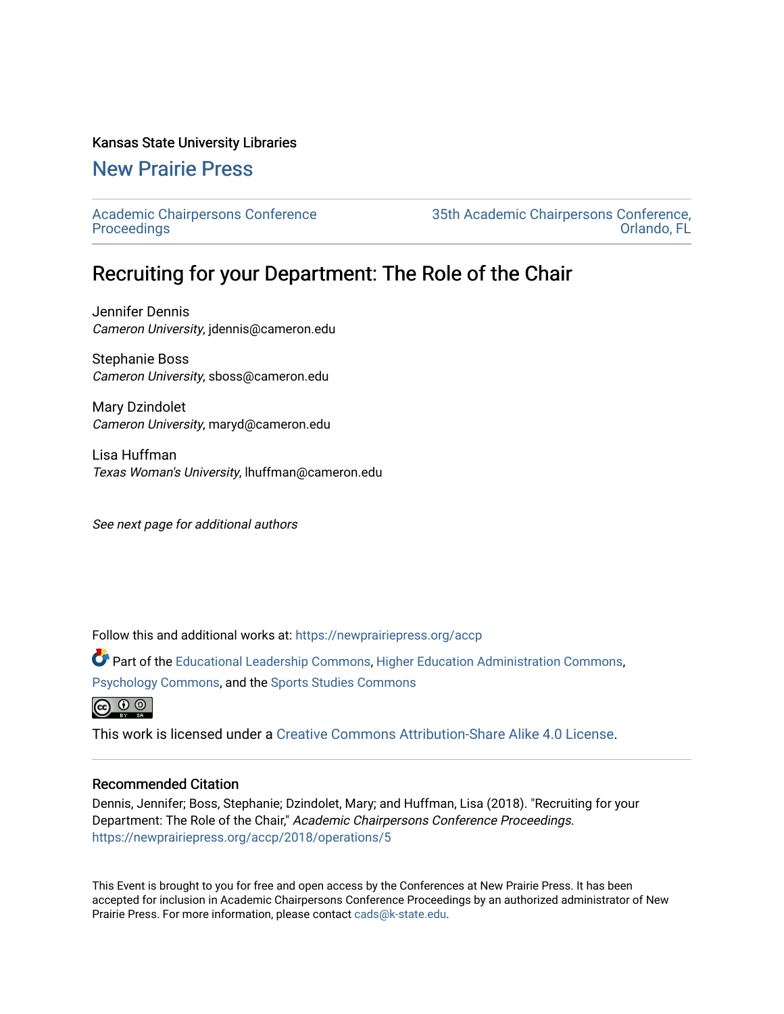#### Kansas State University Libraries

# [New Prairie Press](https://newprairiepress.org/)

[Academic Chairpersons Conference](https://newprairiepress.org/accp)  **Proceedings** 

[35th Academic Chairpersons Conference,](https://newprairiepress.org/accp/2018)  [Orlando, FL](https://newprairiepress.org/accp/2018) 

# Recruiting for your Department: The Role of the Chair

Jennifer Dennis Cameron University, jdennis@cameron.edu

Stephanie Boss Cameron University, sboss@cameron.edu

Mary Dzindolet Cameron University, maryd@cameron.edu

Lisa Huffman Texas Woman's University, lhuffman@cameron.edu

See next page for additional authors

Follow this and additional works at: [https://newprairiepress.org/accp](https://newprairiepress.org/accp?utm_source=newprairiepress.org%2Faccp%2F2018%2Foperations%2F5&utm_medium=PDF&utm_campaign=PDFCoverPages) 

Part of the [Educational Leadership Commons,](http://network.bepress.com/hgg/discipline/1230?utm_source=newprairiepress.org%2Faccp%2F2018%2Foperations%2F5&utm_medium=PDF&utm_campaign=PDFCoverPages) [Higher Education Administration Commons,](http://network.bepress.com/hgg/discipline/791?utm_source=newprairiepress.org%2Faccp%2F2018%2Foperations%2F5&utm_medium=PDF&utm_campaign=PDFCoverPages) [Psychology Commons,](http://network.bepress.com/hgg/discipline/404?utm_source=newprairiepress.org%2Faccp%2F2018%2Foperations%2F5&utm_medium=PDF&utm_campaign=PDFCoverPages) and the [Sports Studies Commons](http://network.bepress.com/hgg/discipline/1198?utm_source=newprairiepress.org%2Faccp%2F2018%2Foperations%2F5&utm_medium=PDF&utm_campaign=PDFCoverPages)



This work is licensed under a [Creative Commons Attribution-Share Alike 4.0 License.](https://creativecommons.org/licenses/by-sa/4.0/)

#### Recommended Citation

Dennis, Jennifer; Boss, Stephanie; Dzindolet, Mary; and Huffman, Lisa (2018). "Recruiting for your Department: The Role of the Chair," Academic Chairpersons Conference Proceedings. <https://newprairiepress.org/accp/2018/operations/5>

This Event is brought to you for free and open access by the Conferences at New Prairie Press. It has been accepted for inclusion in Academic Chairpersons Conference Proceedings by an authorized administrator of New Prairie Press. For more information, please contact [cads@k-state.edu.](mailto:cads@k-state.edu)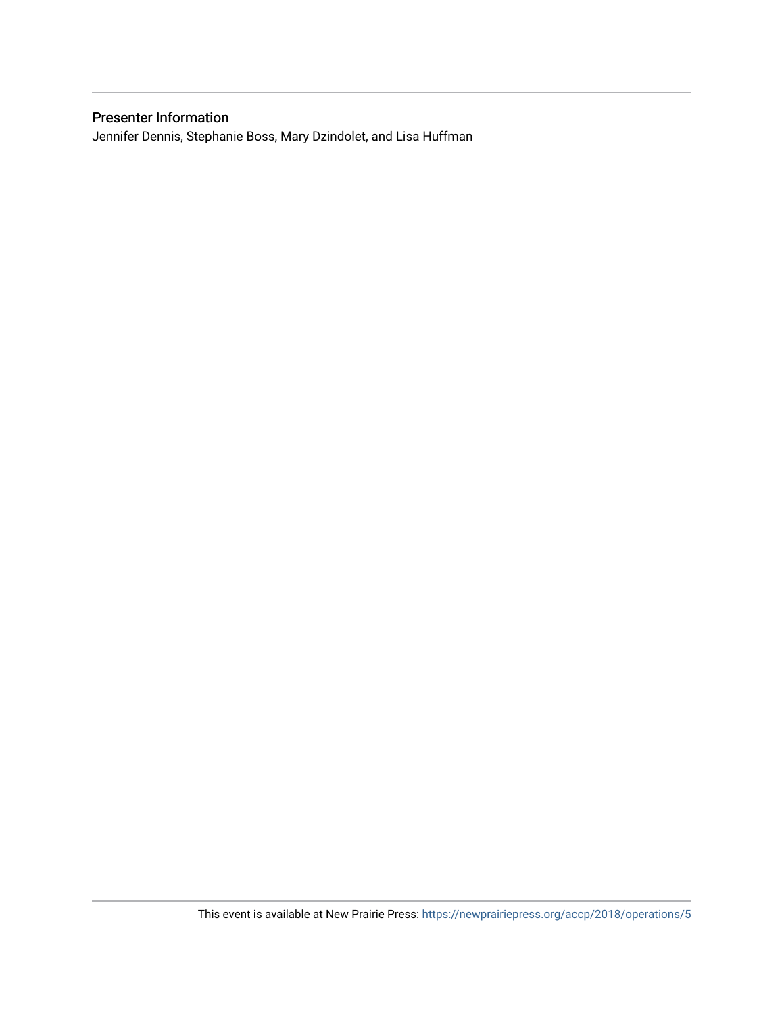### Presenter Information

Jennifer Dennis, Stephanie Boss, Mary Dzindolet, and Lisa Huffman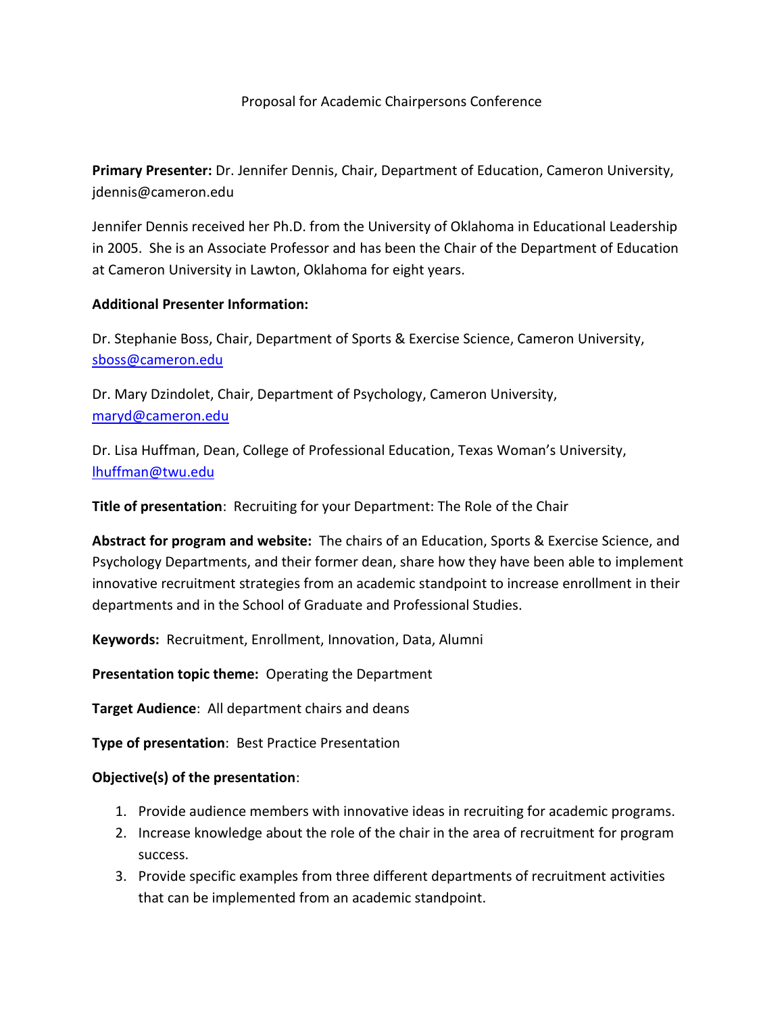### Proposal for Academic Chairpersons Conference

**Primary Presenter:** Dr. Jennifer Dennis, Chair, Department of Education, Cameron University, jdennis@cameron.edu

Jennifer Dennis received her Ph.D. from the University of Oklahoma in Educational Leadership in 2005. She is an Associate Professor and has been the Chair of the Department of Education at Cameron University in Lawton, Oklahoma for eight years.

#### **Additional Presenter Information:**

Dr. Stephanie Boss, Chair, Department of Sports & Exercise Science, Cameron University, [sboss@cameron.edu](mailto:sboss@cameron.edu)

Dr. Mary Dzindolet, Chair, Department of Psychology, Cameron University, [maryd@cameron.edu](mailto:maryd@cameron.edu)

Dr. Lisa Huffman, Dean, College of Professional Education, Texas Woman's University, [lhuffman@twu.edu](mailto:lhuffman@twu.edu)

**Title of presentation**: Recruiting for your Department: The Role of the Chair

**Abstract for program and website:** The chairs of an Education, Sports & Exercise Science, and Psychology Departments, and their former dean, share how they have been able to implement innovative recruitment strategies from an academic standpoint to increase enrollment in their departments and in the School of Graduate and Professional Studies.

**Keywords:** Recruitment, Enrollment, Innovation, Data, Alumni

**Presentation topic theme:** Operating the Department

**Target Audience**: All department chairs and deans

**Type of presentation**: Best Practice Presentation

#### **Objective(s) of the presentation**:

- 1. Provide audience members with innovative ideas in recruiting for academic programs.
- 2. Increase knowledge about the role of the chair in the area of recruitment for program success.
- 3. Provide specific examples from three different departments of recruitment activities that can be implemented from an academic standpoint.